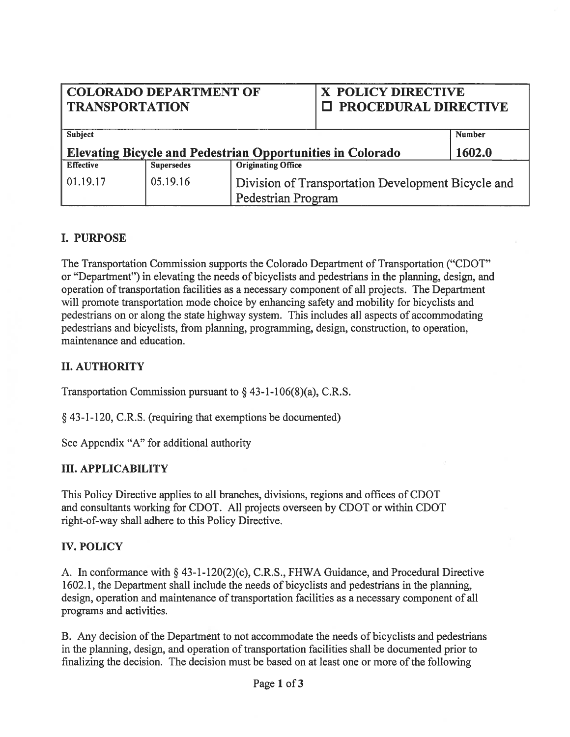# COLORADO DEPARTMENT OF X POLICY DIRECTIVE TRANSPORTATION | I PROCEDURAL DIRECTIVE

| Subject                                                           |                   |                                                                          | <b>Number</b> |
|-------------------------------------------------------------------|-------------------|--------------------------------------------------------------------------|---------------|
| <b>Elevating Bicycle and Pedestrian Opportunities in Colorado</b> |                   |                                                                          | 1602.0        |
| <b>Effective</b>                                                  | <b>Supersedes</b> | <b>Originating Office</b>                                                |               |
| 01.19.17                                                          | 05.19.16          | Division of Transportation Development Bicycle and<br>Pedestrian Program |               |

## I. PURPOSE

The Transportation Commission supports the Colorado Department of Transportation ("CDOT" or "Department") in elevating the needs of bicyclists and pedestrians in the planning, design, and operation of transportation facilities as a necessary component of all projects. The Department will promote transportation mode choice by enhancing safety and mobility for bicyclists and pedestrians on or along the state highway system. This includes all aspects of accommodating pedestrians and bicyclists, from planning, programming, design, construction, to operation, maintenance and education.

# II. AUTHORITY

Transportation Commission pursuant to  $\S$  43-1-106(8)(a), C.R.S.

§ 43-1-120, C.R.S. (requiring that exemptions be documented)

See Appendix "A" for additional authority

### III. APPLICABILITY

This Policy Directive applies to all branches, divisions, regions and offices of CDOT and consultants working for CDOT. All projects overseen by CDOT or within CDOT right-of-way shall adhere to this Policy Directive.

### IV. POLICY

A. In conformance with § 43-1-120(2)(c), C.R.S., FHWA Guidance, and Procedural Directive 1602.1, the Department shall include the needs of bicyclists and pedestrians in the planning, design, operation and maintenance of transportation facilities as <sup>a</sup> necessary componen<sup>t</sup> of all programs and activities.

B. Any decision of the Department to not accommodate the needs of bicyclists and pedestrians in the planning, design, and operation of transportation facilities shall be documented prior to finalizing the decision. The decision must be based on at least one or more of the following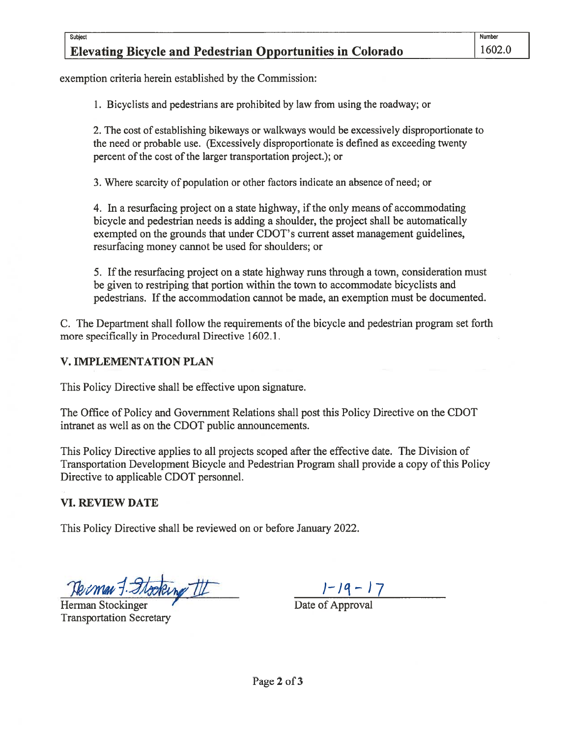# Elevating Bicycle and Pedestrian Opportunities in Colorado 1602.0

exemption criteria herein established by the Commission:

1. Bicyclists and pedestrians are prohibited by law from using the roadway; or

2. The cost of establishing bikeways or walkways would be excessively disproportionate to the need or probable use. (Excessively disproportionate is defined as exceeding twenty percent of the cost of the larger transportation project.); or

3. Where scarcity of population or other factors indicate an absence of need; or

4. In <sup>a</sup> resurfacing project on <sup>a</sup> state highway, ifthe only means of accommodating bicycle and pedestrian needs is adding <sup>a</sup> shoulder, the project shall be automatically exempted on the grounds that under CDOT's current asset managemen<sup>t</sup> guidelines, resurfacing money cannot be used for shoulders; or

5. Ifthe resurfacing project on <sup>a</sup> state highway runs through <sup>a</sup> town, consideration must be given to restriping that portion within the town to accommodate bicyclists and pedestrians. Ifthe accommodation cannot be made, an exemption must be documented.

C. The Department shall follow the requirements of the bicycle and pedestrian program set forth more specifically in Procedural Directive 1602.1.

### V. IMPLEMENTATION PLAN

This Policy Directive shall be effective upon signature.

The Office of Policy and Government Relations shall pos<sup>t</sup> this Policy Directive on the CDOT intranet as well as on the CDOT public announcements.

This Policy Directive applies to all projects scoped after the effective date. The Division of Transportation Development Bicycle and Pedestrian Program shall provide <sup>a</sup> copy ofthis Policy Directive to applicable CDOT personnel.

### VI. REVIEW DATE

This Policy Directive shall be reviewed on or before January 2022.

Herman Stockinger Theory Contract Contract Date of Approval Transportation Secretary

- 17 - 17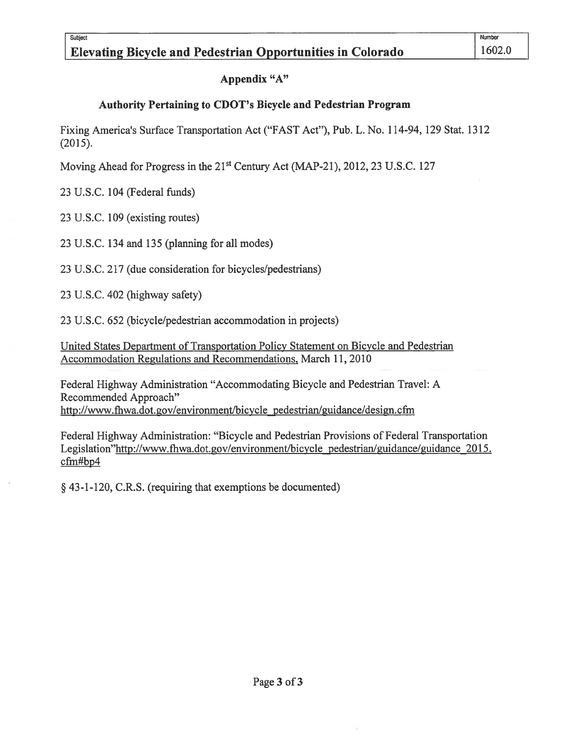## Appendix "A"

# Authority Pertaining to CDOT's Bicycle and Pedestrian Program

Fixing America's Surface Transportation Act ("FAST Act"), Pub. L. No. 114-94, 129 Stat. 1312 (2015).

Moving Ahead for Progress in the 21<sup>st</sup> Century Act (MAP-21), 2012, 23 U.S.C. 127

23 U.S.C. 104 (federal funds)

23 U.S.C. 109 (existing routes)

23 U.S.C. 134 and 135 (planning for all modes)

23 U.S.C. 217 (due consideration for bicycles/pedestrians)

23 U.S.C. 402 (highway safety)

23 U.S.C. 652 (bicycle/pedestrian accommodation in projects)

United States Department of Transportation Policy Statement on Bicycle and Pedestrian Accommodation Regulations and Recommendations, March 11, 2010

federal Highway Administration "Accommodating Bicycle and Pedestrian Travel: A Recommended Approach" http://www.fhwa.dot.gov/environment/bicycle pedestrian/guidance/design.cfm

federal Highway Administration: "Bicycle and Pedestrian Provisions of Federal Transportation Legislation"http://www.fhwa.dot.gov/environment/bicycle pedestrian/guidance/guidance 2015. cfm#bp4

§ 43-1-120, C.R.S. (requiring that exemptions be documented)